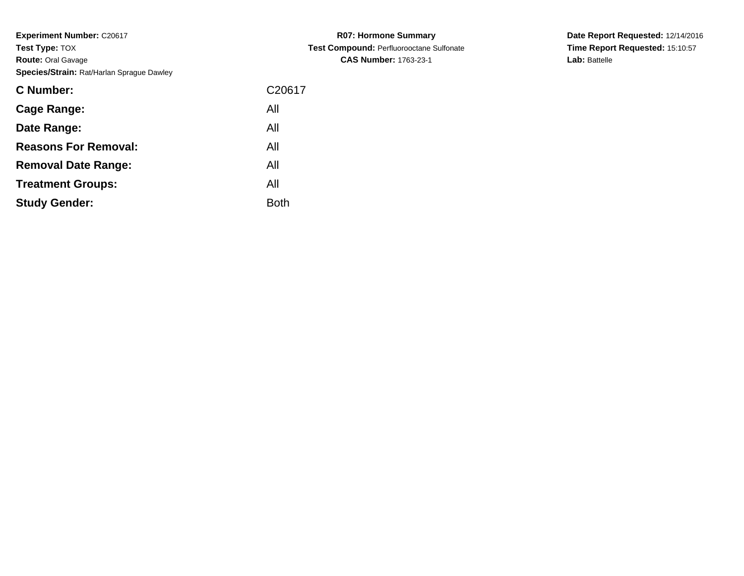| C <sub>20617</sub> |
|--------------------|
| All                |
| All                |
| All                |
| All                |
| All                |
| Both               |
|                    |

**R07: Hormone Summary Test Compound:** Perfluorooctane Sulfonate**CAS Number:** 1763-23-1

**Date Report Requested:** 12/14/2016 **Time Report Requested:** 15:10:57**Lab:** Battelle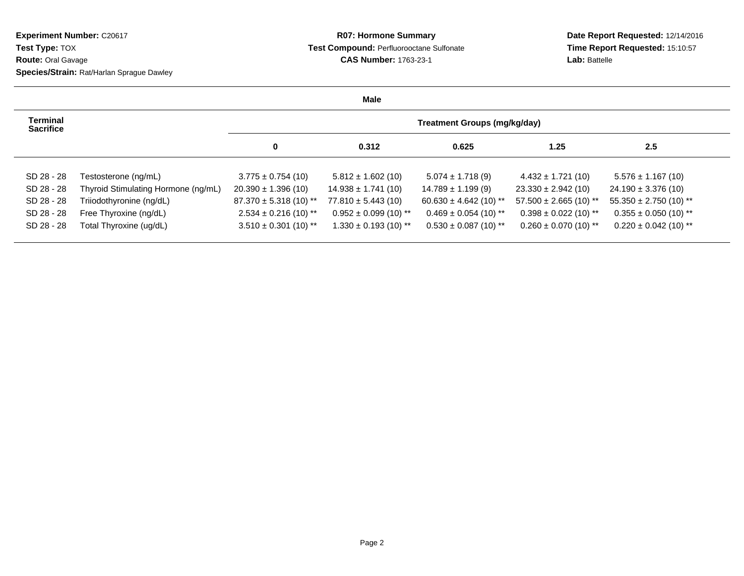## **R07: Hormone Summary Test Compound:** Perfluorooctane Sulfonate**CAS Number:** 1763-23-1

**Date Report Requested:** 12/14/2016 **Time Report Requested:** 15:10:57**Lab:** Battelle

|                                     |                                     |                            | Male                      |                                     |                            |                            |
|-------------------------------------|-------------------------------------|----------------------------|---------------------------|-------------------------------------|----------------------------|----------------------------|
| <b>Terminal</b><br><b>Sacrifice</b> |                                     |                            |                           | <b>Treatment Groups (mg/kg/day)</b> |                            |                            |
|                                     |                                     | $\mathbf 0$                | 0.312                     | 0.625                               | 1.25                       | 2.5                        |
| SD 28 - 28                          | Testosterone (ng/mL)                | $3.775 \pm 0.754(10)$      | $5.812 \pm 1.602$ (10)    | $5.074 \pm 1.718(9)$                | $4.432 \pm 1.721(10)$      | $5.576 \pm 1.167(10)$      |
| SD 28 - 28                          | Thyroid Stimulating Hormone (ng/mL) | $20.390 \pm 1.396(10)$     | $14.938 \pm 1.741(10)$    | $14.789 \pm 1.199$ (9)              | $23.330 \pm 2.942$ (10)    | $24.190 \pm 3.376(10)$     |
| SD 28 - 28                          | Triiodothyronine (ng/dL)            | $87.370 \pm 5.318$ (10) ** | $77.810 \pm 5.443(10)$    | $60.630 \pm 4.642$ (10) **          | $57.500 \pm 2.665$ (10) ** | $55.350 \pm 2.750$ (10) ** |
| SD 28 - 28                          | Free Thyroxine (ng/dL)              | $2.534 \pm 0.216$ (10) **  | $0.952 \pm 0.099$ (10) ** | $0.469 \pm 0.054$ (10) **           | $0.398 \pm 0.022$ (10) **  | $0.355 \pm 0.050$ (10) **  |
| SD 28 - 28                          | Total Thyroxine (ug/dL)             | $3.510 \pm 0.301$ (10) **  | $1.330 \pm 0.193$ (10) ** | $0.530 \pm 0.087$ (10) **           | $0.260 \pm 0.070$ (10) **  | $0.220 \pm 0.042$ (10) **  |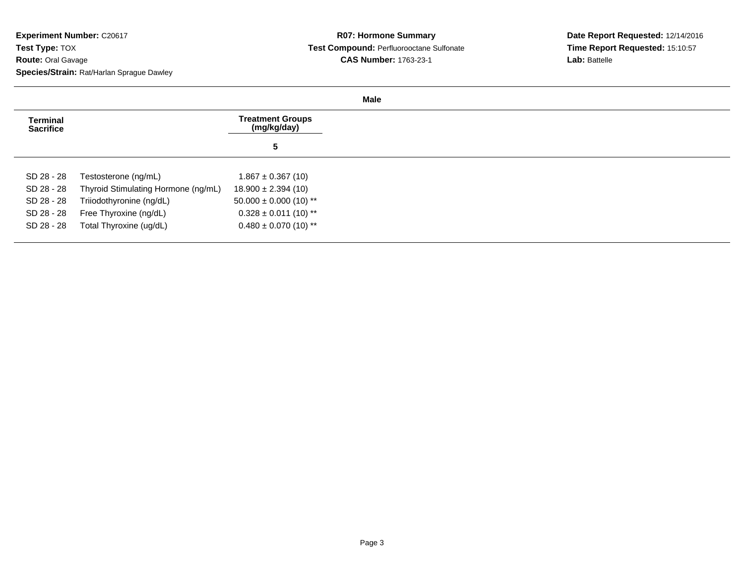| <b>Terminal</b><br><b>Sacrifice</b> |                                     | <b>Treatment Groups</b><br>(mg/kg/day) |
|-------------------------------------|-------------------------------------|----------------------------------------|
|                                     |                                     | 5                                      |
| SD 28 - 28                          | Testosterone (ng/mL)                | $1.867 \pm 0.367(10)$                  |
| SD 28 - 28                          | Thyroid Stimulating Hormone (ng/mL) | $18.900 \pm 2.394(10)$                 |
| SD 28 - 28                          | Triiodothyronine (ng/dL)            | $50.000 \pm 0.000$ (10) **             |
| SD 28 - 28                          | Free Thyroxine (ng/dL)              | $0.328 \pm 0.011$ (10) **              |
| SD 28 - 28                          | Total Thyroxine (ug/dL)             | $0.480 \pm 0.070$ (10) **              |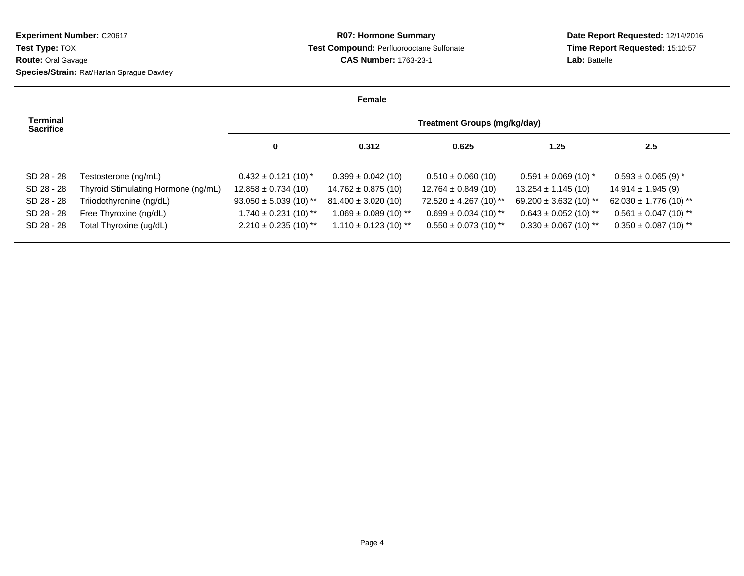## **R07: Hormone Summary Test Compound:** Perfluorooctane Sulfonate**CAS Number:** 1763-23-1

**Date Report Requested:** 12/14/2016 **Time Report Requested:** 15:10:57**Lab:** Battelle

|                                     |                                     |                            | Female                    |                                     |                            |                            |
|-------------------------------------|-------------------------------------|----------------------------|---------------------------|-------------------------------------|----------------------------|----------------------------|
| <b>Terminal</b><br><b>Sacrifice</b> |                                     |                            |                           | <b>Treatment Groups (mg/kg/day)</b> |                            |                            |
|                                     |                                     | 0                          | 0.312                     | 0.625                               | 1.25                       | 2.5                        |
| SD 28 - 28                          | Testosterone (ng/mL)                | $0.432 \pm 0.121$ (10) *   | $0.399 \pm 0.042$ (10)    | $0.510 \pm 0.060$ (10)              | $0.591 \pm 0.069$ (10) *   | $0.593 \pm 0.065$ (9) *    |
| SD 28 - 28                          | Thyroid Stimulating Hormone (ng/mL) | $12.858 \pm 0.734(10)$     | $14.762 \pm 0.875(10)$    | $12.764 \pm 0.849(10)$              | $13.254 \pm 1.145(10)$     | $14.914 \pm 1.945$ (9)     |
| SD 28 - 28                          | Triiodothyronine (ng/dL)            | $93.050 \pm 5.039$ (10) ** | $81.400 \pm 3.020(10)$    | $72.520 \pm 4.267$ (10) **          | $69.200 \pm 3.632$ (10) ** | $62.030 \pm 1.776$ (10) ** |
| SD 28 - 28                          | Free Thyroxine (ng/dL)              | $1.740 \pm 0.231$ (10) **  | $1.069 \pm 0.089$ (10) ** | $0.699 \pm 0.034$ (10) **           | $0.643 \pm 0.052$ (10) **  | $0.561 \pm 0.047$ (10) **  |
| SD 28 - 28                          | Total Thyroxine (ug/dL)             | $2.210 \pm 0.235$ (10) **  | $1.110 \pm 0.123$ (10) ** | $0.550 \pm 0.073$ (10) **           | $0.330 \pm 0.067$ (10) **  | $0.350 \pm 0.087$ (10) **  |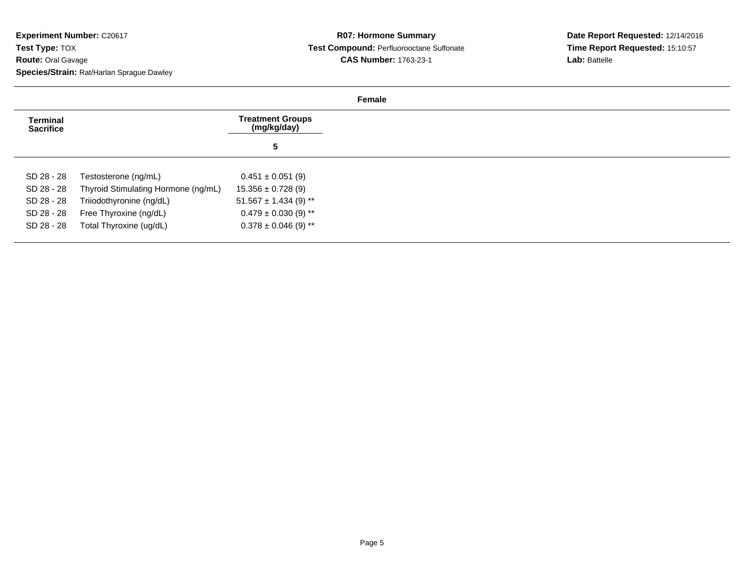| <b>Terminal</b><br><b>Sacrifice</b> |                                     | <b>Treatment Groups</b><br>(mg/kg/day) |
|-------------------------------------|-------------------------------------|----------------------------------------|
|                                     |                                     | 5                                      |
| SD 28 - 28                          | Testosterone (ng/mL)                | $0.451 \pm 0.051$ (9)                  |
| SD 28 - 28                          | Thyroid Stimulating Hormone (ng/mL) | $15.356 \pm 0.728$ (9)                 |
| SD 28 - 28                          | Triiodothyronine (ng/dL)            | $51.567 \pm 1.434$ (9) **              |
| SD 28 - 28                          | Free Thyroxine (ng/dL)              | $0.479 \pm 0.030$ (9) **               |
| SD 28 - 28                          | Total Thyroxine (ug/dL)             | $0.378 \pm 0.046$ (9) **               |